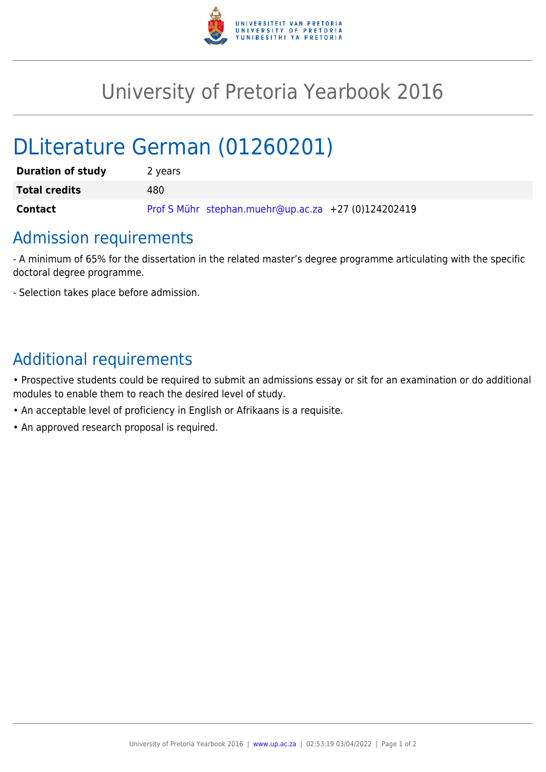

## University of Pretoria Yearbook 2016

# DLiterature German (01260201)

| <b>Duration of study</b> | 2 years                                             |
|--------------------------|-----------------------------------------------------|
| <b>Total credits</b>     | 480                                                 |
| <b>Contact</b>           | Prof S Mühr stephan.muehr@up.ac.za +27 (0)124202419 |

### Admission requirements

- A minimum of 65% for the dissertation in the related master's degree programme articulating with the specific doctoral degree programme.

- Selection takes place before admission.

### Additional requirements

• Prospective students could be required to submit an admissions essay or sit for an examination or do additional modules to enable them to reach the desired level of study.

- An acceptable level of proficiency in English or Afrikaans is a requisite.
- An approved research proposal is required.